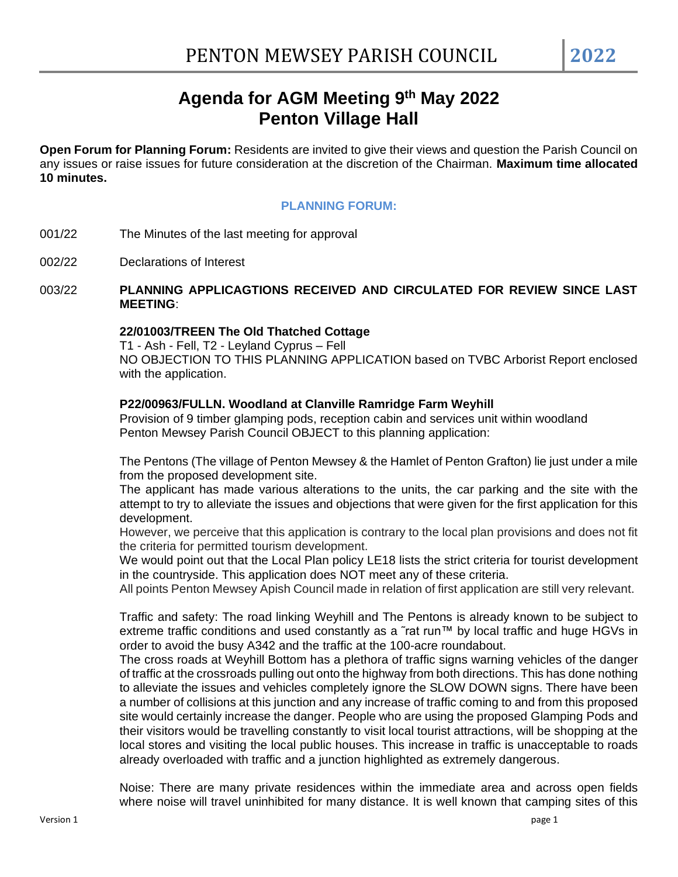# **Agenda for AGM Meeting 9 th May 2022 Penton Village Hall**

**Open Forum for Planning Forum:** Residents are invited to give their views and question the Parish Council on any issues or raise issues for future consideration at the discretion of the Chairman. **Maximum time allocated 10 minutes.**

#### **PLANNING FORUM:**

- 001/22 The Minutes of the last meeting for approval
- 002/22 Declarations of Interest
- 003/22 **PLANNING APPLICAGTIONS RECEIVED AND CIRCULATED FOR REVIEW SINCE LAST MEETING**:

#### **22/01003/TREEN The Old Thatched Cottage**

T1 - Ash - Fell, T2 - Leyland Cyprus – Fell NO OBJECTION TO THIS PLANNING APPLICATION based on TVBC Arborist Report enclosed with the application.

#### **P22/00963/FULLN. Woodland at Clanville Ramridge Farm Weyhill**

Provision of 9 timber glamping pods, reception cabin and services unit within woodland Penton Mewsey Parish Council OBJECT to this planning application:

The Pentons (The village of Penton Mewsey & the Hamlet of Penton Grafton) lie just under a mile from the proposed development site.

The applicant has made various alterations to the units, the car parking and the site with the attempt to try to alleviate the issues and objections that were given for the first application for this development.

However, we perceive that this application is contrary to the local plan provisions and does not fit the criteria for permitted tourism development.

We would point out that the Local Plan policy LE18 lists the strict criteria for tourist development in the countryside. This application does NOT meet any of these criteria.

All points Penton Mewsey Apish Council made in relation of first application are still very relevant.

Traffic and safety: The road linking Weyhill and The Pentons is already known to be subject to extreme traffic conditions and used constantly as a ~rat run™ by local traffic and huge HGVs in order to avoid the busy A342 and the traffic at the 100-acre roundabout.

The cross roads at Weyhill Bottom has a plethora of traffic signs warning vehicles of the danger of traffic at the crossroads pulling out onto the highway from both directions. This has done nothing to alleviate the issues and vehicles completely ignore the SLOW DOWN signs. There have been a number of collisions at this junction and any increase of traffic coming to and from this proposed site would certainly increase the danger. People who are using the proposed Glamping Pods and their visitors would be travelling constantly to visit local tourist attractions, will be shopping at the local stores and visiting the local public houses. This increase in traffic is unacceptable to roads already overloaded with traffic and a junction highlighted as extremely dangerous.

Noise: There are many private residences within the immediate area and across open fields where noise will travel uninhibited for many distance. It is well known that camping sites of this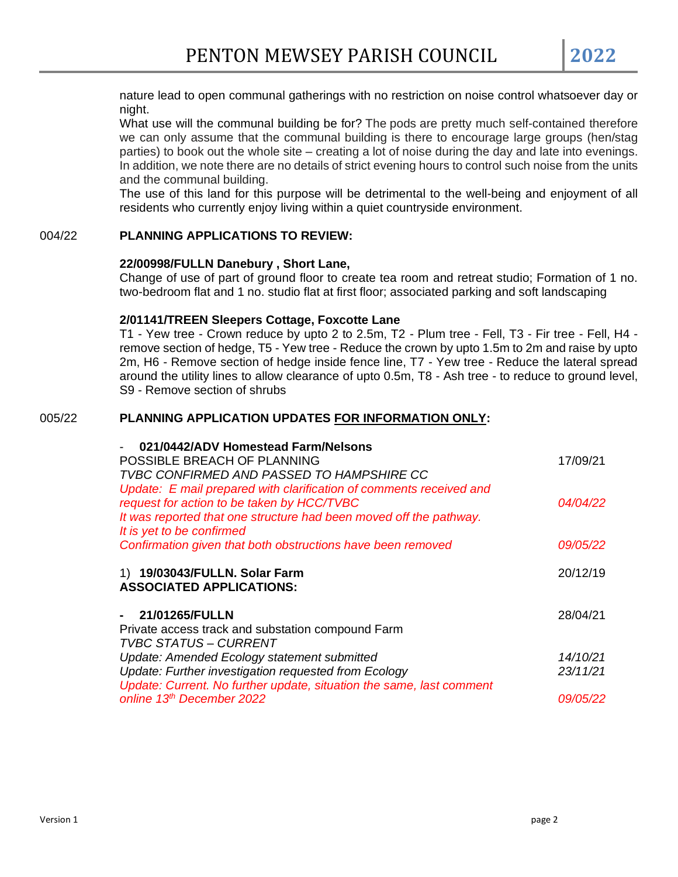nature lead to open communal gatherings with no restriction on noise control whatsoever day or night.

What use will the communal building be for? The pods are pretty much self-contained therefore we can only assume that the communal building is there to encourage large groups (hen/stag parties) to book out the whole site – creating a lot of noise during the day and late into evenings. In addition, we note there are no details of strict evening hours to control such noise from the units and the communal building.

The use of this land for this purpose will be detrimental to the well-being and enjoyment of all residents who currently enjoy living within a quiet countryside environment.

#### 004/22 **PLANNING APPLICATIONS TO REVIEW:**

#### **22/00998/FULLN Danebury , Short Lane,**

Change of use of part of ground floor to create tea room and retreat studio; Formation of 1 no. two-bedroom flat and 1 no. studio flat at first floor; associated parking and soft landscaping

#### **2/01141/TREEN Sleepers Cottage, Foxcotte Lane**

T1 - Yew tree - Crown reduce by upto 2 to 2.5m, T2 - Plum tree - Fell, T3 - Fir tree - Fell, H4 remove section of hedge, T5 - Yew tree - Reduce the crown by upto 1.5m to 2m and raise by upto 2m, H6 - Remove section of hedge inside fence line, T7 - Yew tree - Reduce the lateral spread around the utility lines to allow clearance of upto 0.5m, T8 - Ash tree - to reduce to ground level, S9 - Remove section of shrubs

#### 005/22 **PLANNING APPLICATION UPDATES FOR INFORMATION ONLY:**

| 021/0442/ADV Homestead Farm/Nelsons                                  |                 |
|----------------------------------------------------------------------|-----------------|
| POSSIBLE BREACH OF PLANNING                                          | 17/09/21        |
| TVBC CONFIRMED AND PASSED TO HAMPSHIRE CC                            |                 |
| Update: E mail prepared with clarification of comments received and  |                 |
| request for action to be taken by HCC/TVBC                           | 04/04/22        |
| It was reported that one structure had been moved off the pathway.   |                 |
| It is yet to be confirmed                                            |                 |
| Confirmation given that both obstructions have been removed          | 09/05/22        |
|                                                                      |                 |
| 1) 19/03043/FULLN. Solar Farm                                        | 20/12/19        |
| <b>ASSOCIATED APPLICATIONS:</b>                                      |                 |
|                                                                      |                 |
| 21/01265/FULLN                                                       | 28/04/21        |
| Private access track and substation compound Farm                    |                 |
| <b>TVBC STATUS - CURRENT</b>                                         |                 |
|                                                                      | 14/10/21        |
| Update: Amended Ecology statement submitted                          |                 |
| Update: Further investigation requested from Ecology                 | 23/11/21        |
| Update: Current. No further update, situation the same, last comment |                 |
| online 13th December 2022                                            | <i>09/05/22</i> |